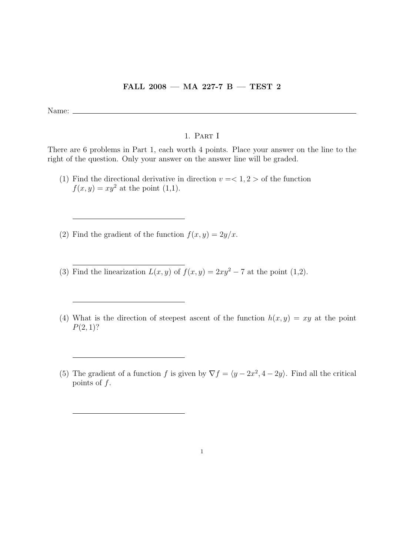## FALL 2008 — MA 227-7 B — TEST 2

Name:

## 1. Part I

There are 6 problems in Part 1, each worth 4 points. Place your answer on the line to the right of the question. Only your answer on the answer line will be graded.

- (1) Find the directional derivative in direction  $v = \langle 1, 2 \rangle$  of the function  $f(x, y) = xy^2$  at the point (1,1).
- (2) Find the gradient of the function  $f(x, y) = 2y/x$ .
- (3) Find the linearization  $L(x, y)$  of  $f(x, y) = 2xy^2 7$  at the point (1,2).
- (4) What is the direction of steepest ascent of the function  $h(x, y) = xy$  at the point  $P(2, 1)$ ?
- (5) The gradient of a function f is given by  $\nabla f = \langle y 2x^2, 4 2y \rangle$ . Find all the critical points of  $f$ .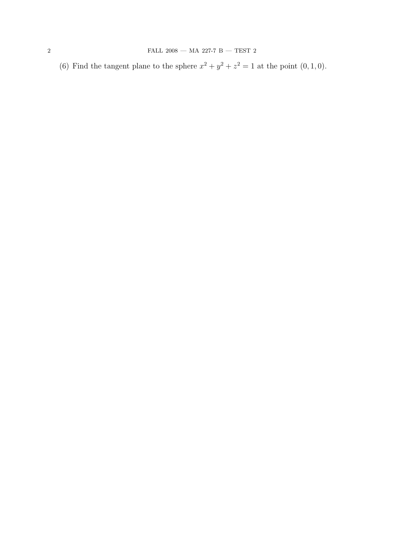(6) Find the tangent plane to the sphere  $x^2 + y^2 + z^2 = 1$  at the point  $(0, 1, 0)$ .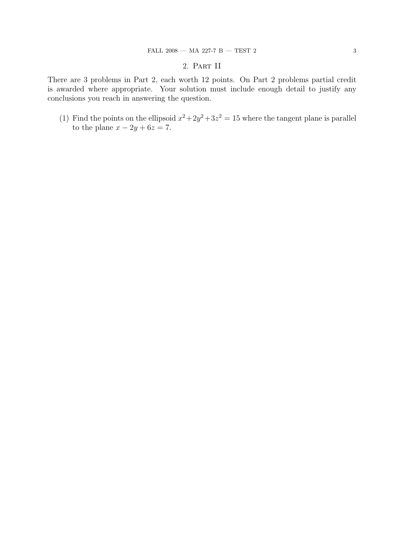## 2. Part II

There are 3 problems in Part 2, each worth 12 points. On Part 2 problems partial credit is awarded where appropriate. Your solution must include enough detail to justify any conclusions you reach in answering the question.

(1) Find the points on the ellipsoid  $x^2+2y^2+3z^2=15$  where the tangent plane is parallel to the plane  $x - 2y + 6z = 7$ .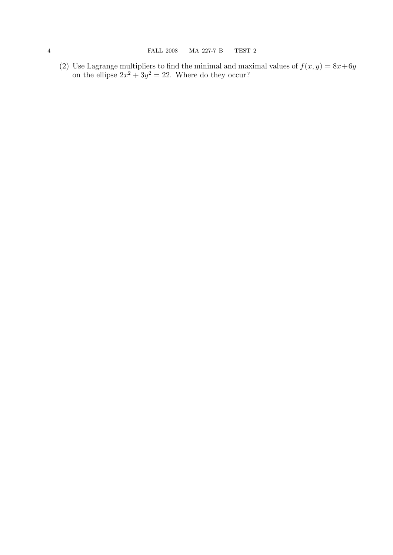(2) Use Lagrange multipliers to find the minimal and maximal values of  $f(x, y) = 8x+6y$ on the ellipse  $2x^2 + 3y^2 = 22$ . Where do they occur?